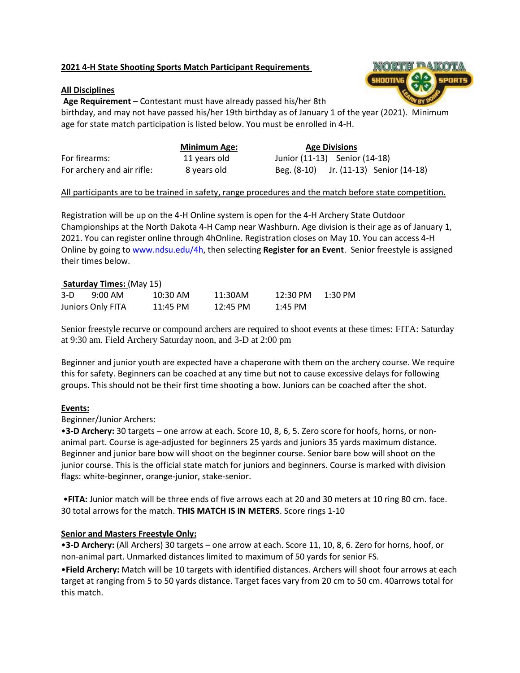#### **2021 4-H State Shooting Sports Match Participant Requirements**

#### **All Disciplines**

**Age Requirement** – Contestant must have already passed his/her 8th

birthday, and may not have passed his/her 19th birthday as of January 1 of the year (2021). Minimum age for state match participation is listed below. You must be enrolled in 4-H.

|                            | <b>Minimum Age:</b> | <b>Age Divisions</b>                   |  |  |
|----------------------------|---------------------|----------------------------------------|--|--|
| For firearms:              | 11 years old        | Junior (11-13) Senior (14-18)          |  |  |
| For archery and air rifle: | 8 years old         | Beg. (8-10) Jr. (11-13) Senior (14-18) |  |  |

## All participants are to be trained in safety, range procedures and the match before state competition.

Registration will be up on the 4-H Online system is open for the 4-H Archery State Outdoor Championships at the North Dakota 4-H Camp near Washburn. Age division is their age as of January 1, 2021. You can register online through 4hOnline. Registration closes on May 10. You can access 4-H Online by going to www.ndsu.edu/4h, then selecting **Register for an Event**. Senior freestyle is assigned their times below.

#### **Saturday Times:** (May 15)

| $3-D$ | $\overline{\phantom{a}}$ . The contract of the contract of the contract of the contract of the contract of the contract of the contract of the contract of the contract of the contract of the contract of the contract of the contract of<br>$9:00 \text{ AM}$ | $10:30$ AM | 11:30AM            | 12:30 PM | 1:30 PM |
|-------|-----------------------------------------------------------------------------------------------------------------------------------------------------------------------------------------------------------------------------------------------------------------|------------|--------------------|----------|---------|
|       | <b>Juniors Only FITA</b>                                                                                                                                                                                                                                        | 11:45 PM   | $12:45 \text{ PM}$ | 1:45 PM  |         |

Senior freestyle recurve or compound archers are required to shoot events at these times: FITA: Saturday at 9:30 am. Field Archery Saturday noon, and 3-D at 2:00 pm

Beginner and junior youth are expected have a chaperone with them on the archery course. We require this for safety. Beginners can be coached at any time but not to cause excessive delays for following groups. This should not be their first time shooting a bow. Juniors can be coached after the shot.

#### **Events:**

Beginner/Junior Archers:

•**3-D Archery:** 30 targets – one arrow at each. Score 10, 8, 6, 5. Zero score for hoofs, horns, or nonanimal part. Course is age-adjusted for beginners 25 yards and juniors 35 yards maximum distance. Beginner and junior bare bow will shoot on the beginner course. Senior bare bow will shoot on the junior course. This is the official state match for juniors and beginners. Course is marked with division flags: white-beginner, orange-junior, stake-senior.

•**FITA:** Junior match will be three ends of five arrows each at 20 and 30 meters at 10 ring 80 cm. face. 30 total arrows for the match. **THIS MATCH IS IN METERS**. Score rings 1-10

#### **Senior and Masters Freestyle Only:**

•**3-D Archery:** (All Archers) 30 targets – one arrow at each. Score 11, 10, 8, 6. Zero for horns, hoof, or non-animal part. Unmarked distances limited to maximum of 50 yards for senior FS.

•**Field Archery:** Match will be 10 targets with identified distances. Archers will shoot four arrows at each target at ranging from 5 to 50 yards distance. Target faces vary from 20 cm to 50 cm. 40arrows total for this match.

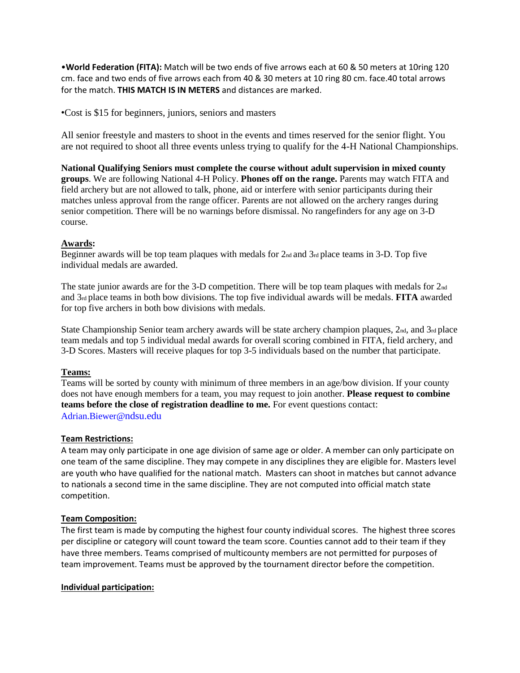•**World Federation (FITA):** Match will be two ends of five arrows each at 60 & 50 meters at 10ring 120 cm. face and two ends of five arrows each from 40 & 30 meters at 10 ring 80 cm. face.40 total arrows for the match. **THIS MATCH IS IN METERS** and distances are marked.

•Cost is \$15 for beginners, juniors, seniors and masters

All senior freestyle and masters to shoot in the events and times reserved for the senior flight. You are not required to shoot all three events unless trying to qualify for the 4-H National Championships.

**National Qualifying Seniors must complete the course without adult supervision in mixed county groups**. We are following National 4-H Policy. **Phones off on the range.** Parents may watch FITA and field archery but are not allowed to talk, phone, aid or interfere with senior participants during their matches unless approval from the range officer. Parents are not allowed on the archery ranges during senior competition. There will be no warnings before dismissal. No rangefinders for any age on 3-D course.

## **Awards:**

Beginner awards will be top team plaques with medals for 2nd and 3rd place teams in 3-D. Top five individual medals are awarded.

The state junior awards are for the 3-D competition. There will be top team plaques with medals for 2<sub>nd</sub> and 3rd place teams in both bow divisions. The top five individual awards will be medals. **FITA** awarded for top five archers in both bow divisions with medals.

State Championship Senior team archery awards will be state archery champion plaques,  $2<sub>nd</sub>$ , and  $3<sub>rd</sub>$  place team medals and top 5 individual medal awards for overall scoring combined in FITA, field archery, and 3-D Scores. Masters will receive plaques for top 3-5 individuals based on the number that participate.

# **Teams:**

Teams will be sorted by county with minimum of three members in an age/bow division. If your county does not have enough members for a team, you may request to join another. **Please request to combine teams before the close of registration deadline to me.** For event questions contact: Adrian.Biewer@ndsu.edu

#### **Team Restrictions:**

A team may only participate in one age division of same age or older. A member can only participate on one team of the same discipline. They may compete in any disciplines they are eligible for. Masters level are youth who have qualified for the national match. Masters can shoot in matches but cannot advance to nationals a second time in the same discipline. They are not computed into official match state competition.

#### **Team Composition:**

The first team is made by computing the highest four county individual scores. The highest three scores per discipline or category will count toward the team score. Counties cannot add to their team if they have three members. Teams comprised of multicounty members are not permitted for purposes of team improvement. Teams must be approved by the tournament director before the competition.

#### **Individual participation:**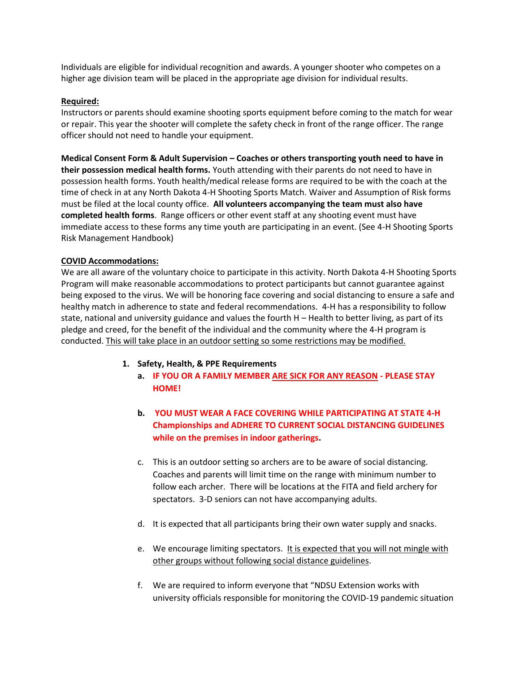Individuals are eligible for individual recognition and awards. A younger shooter who competes on a higher age division team will be placed in the appropriate age division for individual results.

#### **Required:**

Instructors or parents should examine shooting sports equipment before coming to the match for wear or repair. This year the shooter will complete the safety check in front of the range officer. The range officer should not need to handle your equipment.

**Medical Consent Form & Adult Supervision – Coaches or others transporting youth need to have in their possession medical health forms.** Youth attending with their parents do not need to have in possession health forms. Youth health/medical release forms are required to be with the coach at the time of check in at any North Dakota 4-H Shooting Sports Match. Waiver and Assumption of Risk forms must be filed at the local county office. **All volunteers accompanying the team must also have completed health forms**. Range officers or other event staff at any shooting event must have immediate access to these forms any time youth are participating in an event. (See 4-H Shooting Sports Risk Management Handbook)

## **COVID Accommodations:**

We are all aware of the voluntary choice to participate in this activity. North Dakota 4-H Shooting Sports Program will make reasonable accommodations to protect participants but cannot guarantee against being exposed to the virus. We will be honoring face covering and social distancing to ensure a safe and healthy match in adherence to state and federal recommendations. 4-H has a responsibility to follow state, national and university guidance and values the fourth H – Health to better living, as part of its pledge and creed, for the benefit of the individual and the community where the 4-H program is conducted. This will take place in an outdoor setting so some restrictions may be modified.

- **1. Safety, Health, & PPE Requirements**
	- **a. IF YOU OR A FAMILY MEMBER ARE SICK FOR ANY REASON - PLEASE STAY HOME!**
	- **b. YOU MUST WEAR A FACE COVERING WHILE PARTICIPATING AT STATE 4-H Championships and ADHERE TO CURRENT SOCIAL DISTANCING GUIDELINES while on the premises in indoor gatherings.**
	- c. This is an outdoor setting so archers are to be aware of social distancing. Coaches and parents will limit time on the range with minimum number to follow each archer. There will be locations at the FITA and field archery for spectators. 3-D seniors can not have accompanying adults.
	- d. It is expected that all participants bring their own water supply and snacks.
	- e. We encourage limiting spectators. It is expected that you will not mingle with other groups without following social distance guidelines.
	- f. We are required to inform everyone that "NDSU Extension works with university officials responsible for monitoring the COVID-19 pandemic situation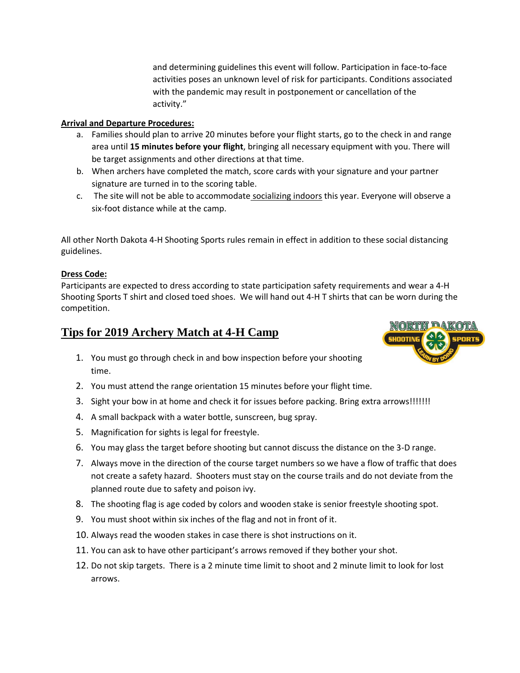and determining guidelines this event will follow. Participation in face-to-face activities poses an unknown level of risk for participants. Conditions associated with the pandemic may result in postponement or cancellation of the activity."

# **Arrival and Departure Procedures:**

- a. Families should plan to arrive 20 minutes before your flight starts, go to the check in and range area until **15 minutes before your flight**, bringing all necessary equipment with you. There will be target assignments and other directions at that time.
- b. When archers have completed the match, score cards with your signature and your partner signature are turned in to the scoring table.
- c. The site will not be able to accommodate socializing indoors this year. Everyone will observe a six-foot distance while at the camp.

All other North Dakota 4-H Shooting Sports rules remain in effect in addition to these social distancing guidelines.

# **Dress Code:**

Participants are expected to dress according to state participation safety requirements and wear a 4-H Shooting Sports T shirt and closed toed shoes. We will hand out 4-H T shirts that can be worn during the competition.

# **Tips for 2019 Archery Match at 4-H Camp**



- 1. You must go through check in and bow inspection before your shooting time.
- 2. You must attend the range orientation 15 minutes before your flight time.
- 3. Sight your bow in at home and check it for issues before packing. Bring extra arrows!!!!!!!
- 4. A small backpack with a water bottle, sunscreen, bug spray.
- 5. Magnification for sights is legal for freestyle.
- 6. You may glass the target before shooting but cannot discuss the distance on the 3-D range.
- 7. Always move in the direction of the course target numbers so we have a flow of traffic that does not create a safety hazard. Shooters must stay on the course trails and do not deviate from the planned route due to safety and poison ivy.
- 8. The shooting flag is age coded by colors and wooden stake is senior freestyle shooting spot.
- 9. You must shoot within six inches of the flag and not in front of it.
- 10. Always read the wooden stakes in case there is shot instructions on it.
- 11. You can ask to have other participant's arrows removed if they bother your shot.
- 12. Do not skip targets. There is a 2 minute time limit to shoot and 2 minute limit to look for lost arrows.